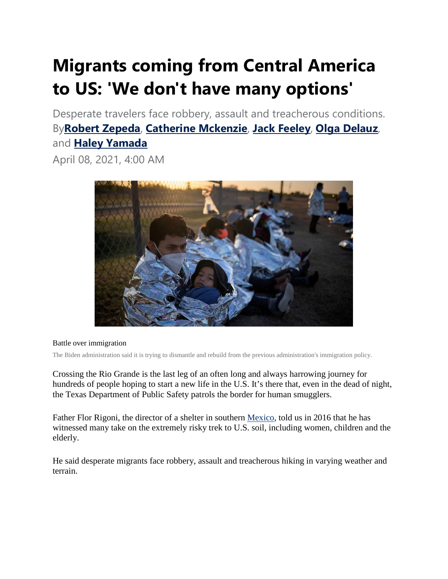## **Migrants coming from Central America to US: 'We don't have many options'**

Desperate travelers face robbery, assault and treacherous conditions. By**[Robert Zepeda](https://abcnews.go.com/author/Robert_Zepeda)**, **[Catherine Mckenzie](https://abcnews.go.com/author/Catherine_Mckenzie)**, **[Jack Feeley](https://abcnews.go.com/author/Jack_Feeley)**, **[Olga Delauz](https://abcnews.go.com/author/olga_delauz)**, and **[Haley Yamada](https://abcnews.go.com/author/haley_yamada)**

April 08, 2021, 4:00 AM



## Battle over immigration

The Biden administration said it is trying to dismantle and rebuild from the previous administration's immigration policy.

Crossing the Rio Grande is the last leg of an often long and always harrowing journey for hundreds of people hoping to start a new life in the U.S. It's there that, even in the dead of night, the Texas Department of Public Safety patrols the border for human smugglers.

Father Flor Rigoni, the director of a shelter in southern [Mexico,](https://abcnews.go.com/alerts/mexico) told us in 2016 that he has witnessed many take on the extremely risky trek to U.S. soil, including women, children and the elderly.

He said desperate migrants face robbery, assault and treacherous hiking in varying weather and terrain.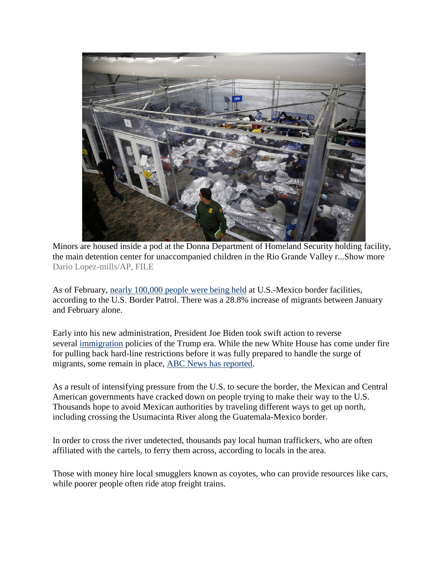

Minors are housed inside a pod at the Donna Department of Homeland Security holding facility, the main detention center for unaccompanied children in the Rio Grande Valley r...Show more Dario Lopez-mills/AP, FILE

As of February, [nearly 100,000 people were being held](https://www.cbp.gov/newsroom/stats/southwest-land-border-encounters) at U.S.-Mexico border facilities, according to the U.S. Border Patrol. There was a 28.8% increase of migrants between January and February alone.

Early into his new administration, President Joe Biden took swift action to reverse several [immigration](https://abcnews.go.com/alerts/immigration) policies of the Trump era. While the new White House has come under fire for pulling back hard-line restrictions before it was fully prepared to handle the surge of migrants, some remain in place, [ABC News has reported.](https://abcnews.go.com/Politics/1st-news-media-allowed-inside-overcrowded-migrant-facility/story?id=76768789)

As a result of intensifying pressure from the U.S. to secure the border, the Mexican and Central American governments have cracked down on people trying to make their way to the U.S. Thousands hope to avoid Mexican authorities by traveling different ways to get up north, including crossing the Usumacinta River along the Guatemala-Mexico border.

In order to cross the river undetected, thousands pay local human traffickers, who are often affiliated with the cartels, to ferry them across, according to locals in the area.

Those with money hire local smugglers known as coyotes, who can provide resources like cars, while poorer people often ride atop freight trains.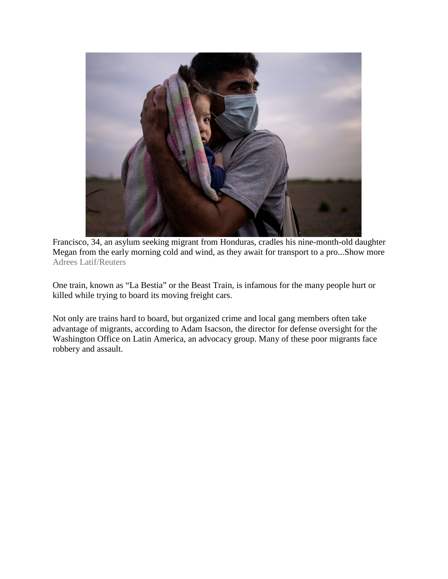

Francisco, 34, an asylum seeking migrant from Honduras, cradles his nine-month-old daughter Megan from the early morning cold and wind, as they await for transport to a pro...Show more Adrees Latif/Reuters

One train, known as "La Bestia" or the Beast Train, is infamous for the many people hurt or killed while trying to board its moving freight cars.

Not only are trains hard to board, but organized crime and local gang members often take advantage of migrants, according to Adam Isacson, the director for defense oversight for the Washington Office on Latin America, an advocacy group. Many of these poor migrants face robbery and assault.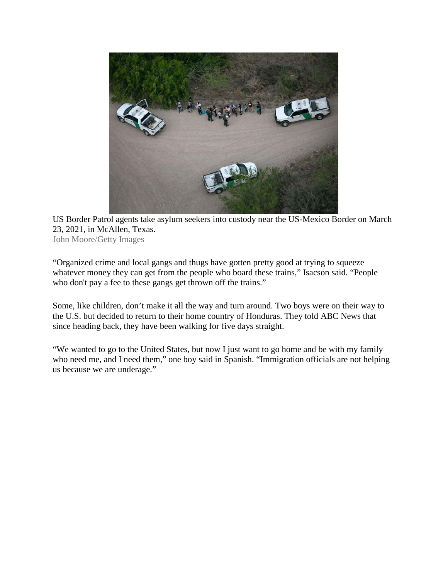

US Border Patrol agents take asylum seekers into custody near the US-Mexico Border on March 23, 2021, in McAllen, Texas. John Moore/Getty Images

"Organized crime and local gangs and thugs have gotten pretty good at trying to squeeze whatever money they can get from the people who board these trains," Isacson said. "People who don't pay a fee to these gangs get thrown off the trains."

Some, like children, don't make it all the way and turn around. Two boys were on their way to the U.S. but decided to return to their home country of Honduras. They told ABC News that since heading back, they have been walking for five days straight.

"We wanted to go to the United States, but now I just want to go home and be with my family who need me, and I need them," one boy said in Spanish. "Immigration officials are not helping us because we are underage."